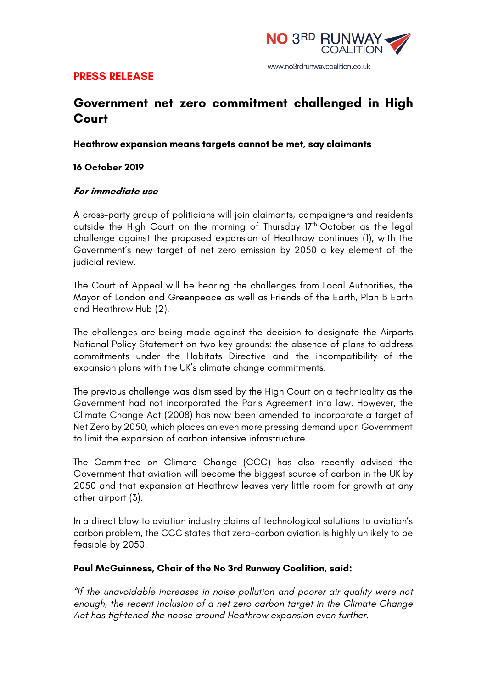

## **PRESS RELEASE**

# **Government net zero commitment challenged in High Court**

#### **Heathrow expansion means targets cannot be met, say claimants**

#### **16 October 2019**

#### **For immediate use**

A cross-party group of politicians will join claimants, campaigners and residents outside the High Court on the morning of Thursday 17<sup>th</sup> October as the legal challenge against the proposed expansion of Heathrow continues (1), with the Government's new target of net zero emission by 2050 a key element of the judicial review.

The Court of Appeal will be hearing the challenges from Local Authorities, the Mayor of London and Greenpeace as well as Friends of the Earth, Plan B Earth and Heathrow Hub (2).

The challenges are being made against the decision to designate the Airports National Policy Statement on two key grounds: the absence of plans to address commitments under the Habitats Directive and the incompatibility of the expansion plans with the UK's climate change commitments.

The previous challenge was dismissed by the High Court on a technicality as the Government had not incorporated the Paris Agreement into law. However, the Climate Change Act (2008) has now been amended to incorporate a target of Net Zero by 2050, which places an even more pressing demand upon Government to limit the expansion of carbon intensive infrastructure.

The Committee on Climate Change (CCC) has also recently advised the Government that aviation will become the biggest source of carbon in the UK by 2050 and that expansion at Heathrow leaves very little room for growth at any other airport (3).

In a direct blow to aviation industry claims of technological solutions to aviation's carbon problem, the CCC states that zero-carbon aviation is highly unlikely to be feasible by 2050.

#### **Paul McGuinness, Chair of the No 3rd Runway Coalition, said:**

*"If the unavoidable increases in noise pollution and poorer air quality were not enough, the recent inclusion of a net zero carbon target in the Climate Change Act has tightened the noose around Heathrow expansion even further.*